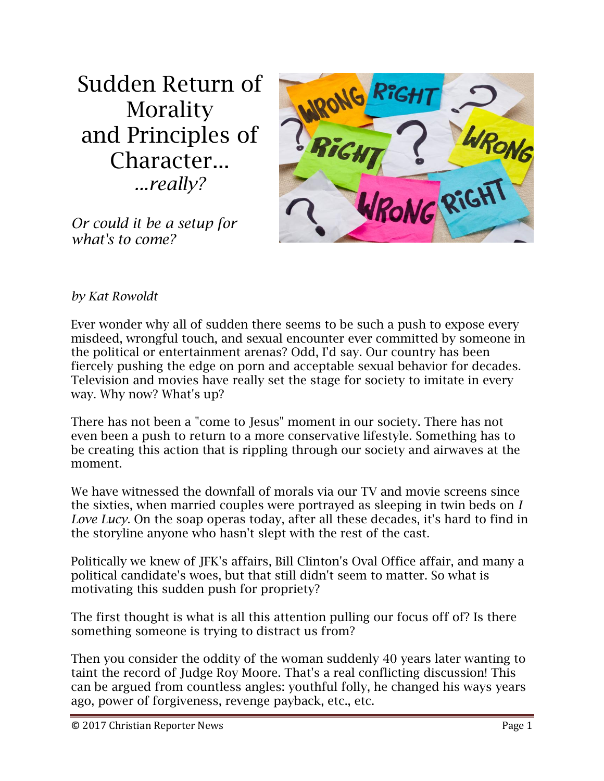Sudden Return of Morality and Principles of Character... *...really?*



*Or could it be a setup for what's to come?*

## *by Kat Rowoldt*

Ever wonder why all of sudden there seems to be such a push to expose every misdeed, wrongful touch, and sexual encounter ever committed by someone in the political or entertainment arenas? Odd, I'd say. Our country has been fiercely pushing the edge on porn and acceptable sexual behavior for decades. Television and movies have really set the stage for society to imitate in every way. Why now? What's up?

There has not been a "come to Jesus" moment in our society. There has not even been a push to return to a more conservative lifestyle. Something has to be creating this action that is rippling through our society and airwaves at the moment.

We have witnessed the downfall of morals via our TV and movie screens since the sixties, when married couples were portrayed as sleeping in twin beds on *I Love Lucy*. On the soap operas today, after all these decades, it's hard to find in the storyline anyone who hasn't slept with the rest of the cast.

Politically we knew of JFK's affairs, Bill Clinton's Oval Office affair, and many a political candidate's woes, but that still didn't seem to matter. So what is motivating this sudden push for propriety?

The first thought is what is all this attention pulling our focus off of? Is there something someone is trying to distract us from?

Then you consider the oddity of the woman suddenly 40 years later wanting to taint the record of Judge Roy Moore. That's a real conflicting discussion! This can be argued from countless angles: youthful folly, he changed his ways years ago, power of forgiveness, revenge payback, etc., etc.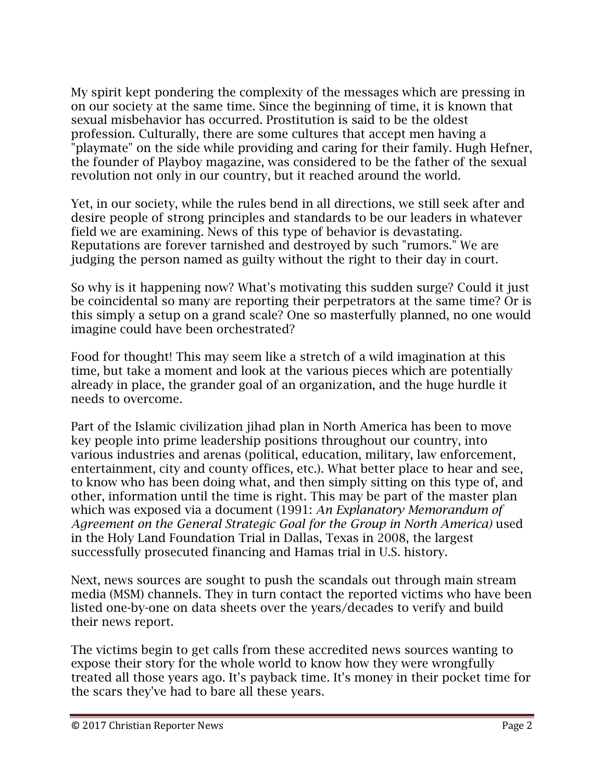My spirit kept pondering the complexity of the messages which are pressing in on our society at the same time. Since the beginning of time, it is known that sexual misbehavior has occurred. Prostitution is said to be the oldest profession. Culturally, there are some cultures that accept men having a "playmate" on the side while providing and caring for their family. Hugh Hefner, the founder of Playboy magazine, was considered to be the father of the sexual revolution not only in our country, but it reached around the world.

Yet, in our society, while the rules bend in all directions, we still seek after and desire people of strong principles and standards to be our leaders in whatever field we are examining. News of this type of behavior is devastating. Reputations are forever tarnished and destroyed by such "rumors." We are judging the person named as guilty without the right to their day in court.

So why is it happening now? What's motivating this sudden surge? Could it just be coincidental so many are reporting their perpetrators at the same time? Or is this simply a setup on a grand scale? One so masterfully planned, no one would imagine could have been orchestrated?

Food for thought! This may seem like a stretch of a wild imagination at this time, but take a moment and look at the various pieces which are potentially already in place, the grander goal of an organization, and the huge hurdle it needs to overcome.

Part of the Islamic civilization jihad plan in North America has been to move key people into prime leadership positions throughout our country, into various industries and arenas (political, education, military, law enforcement, entertainment, city and county offices, etc.). What better place to hear and see, to know who has been doing what, and then simply sitting on this type of, and other, information until the time is right. This may be part of the master plan which was exposed via a document (1991: *An Explanatory Memorandum of Agreement on the General Strategic Goal for the Group in North America)* used in the Holy Land Foundation Trial in Dallas, Texas in 2008, the largest successfully prosecuted financing and Hamas trial in U.S. history.

Next, news sources are sought to push the scandals out through main stream media (MSM) channels. They in turn contact the reported victims who have been listed one-by-one on data sheets over the years/decades to verify and build their news report.

The victims begin to get calls from these accredited news sources wanting to expose their story for the whole world to know how they were wrongfully treated all those years ago. It's payback time. It's money in their pocket time for the scars they've had to bare all these years.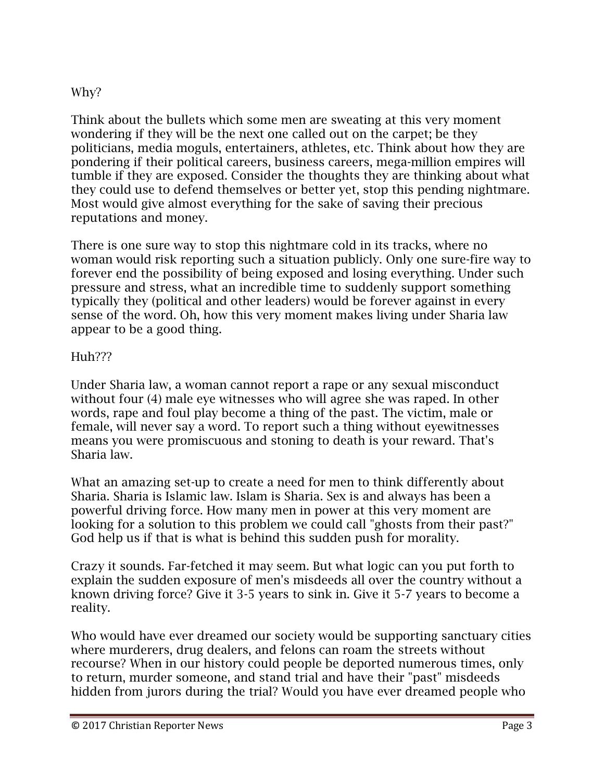## Why?

Think about the bullets which some men are sweating at this very moment wondering if they will be the next one called out on the carpet; be they politicians, media moguls, entertainers, athletes, etc. Think about how they are pondering if their political careers, business careers, mega-million empires will tumble if they are exposed. Consider the thoughts they are thinking about what they could use to defend themselves or better yet, stop this pending nightmare. Most would give almost everything for the sake of saving their precious reputations and money.

There is one sure way to stop this nightmare cold in its tracks, where no woman would risk reporting such a situation publicly. Only one sure-fire way to forever end the possibility of being exposed and losing everything. Under such pressure and stress, what an incredible time to suddenly support something typically they (political and other leaders) would be forever against in every sense of the word. Oh, how this very moment makes living under Sharia law appear to be a good thing.

## Huh???

Under Sharia law, a woman cannot report a rape or any sexual misconduct without four (4) male eye witnesses who will agree she was raped. In other words, rape and foul play become a thing of the past. The victim, male or female, will never say a word. To report such a thing without eyewitnesses means you were promiscuous and stoning to death is your reward. That's Sharia law.

What an amazing set-up to create a need for men to think differently about Sharia. Sharia is Islamic law. Islam is Sharia. Sex is and always has been a powerful driving force. How many men in power at this very moment are looking for a solution to this problem we could call "ghosts from their past?" God help us if that is what is behind this sudden push for morality.

Crazy it sounds. Far-fetched it may seem. But what logic can you put forth to explain the sudden exposure of men's misdeeds all over the country without a known driving force? Give it 3-5 years to sink in. Give it 5-7 years to become a reality.

Who would have ever dreamed our society would be supporting sanctuary cities where murderers, drug dealers, and felons can roam the streets without recourse? When in our history could people be deported numerous times, only to return, murder someone, and stand trial and have their "past" misdeeds hidden from jurors during the trial? Would you have ever dreamed people who